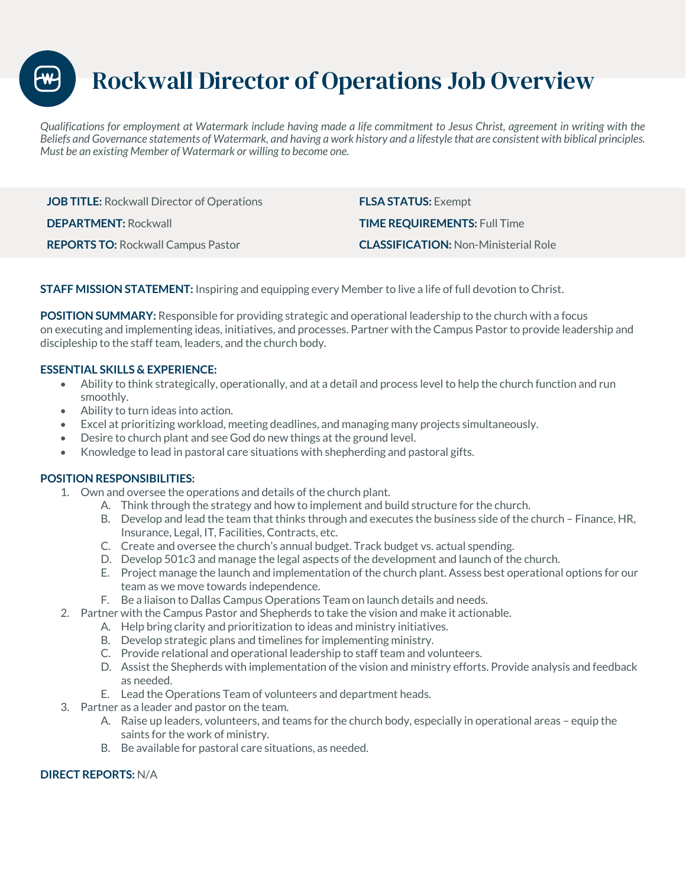Rockwall Director of Operations Job Overview

*Qualifications for employment at Watermark include having made a life commitment to Jesus Christ, agreement in writing with the Beliefs and Governance statements of Watermark, and having a work history and a lifestyle that are consistent with biblical principles. Must be an existing Member of Watermark or willing to become one.* 

**JOB TITLE:** Rockwall Director of Operations **FLSA STATUS:** Exempt **DEPARTMENT:** Rockwall **TIME REQUIREMENTS:** Full Time **REPORTS TO:** Rockwall Campus Pastor **CLASSIFICATION:** Non-Ministerial Role

**STAFF MISSION STATEMENT:** Inspiring and equipping every Member to live a life of full devotion to Christ.

**POSITION SUMMARY:** Responsible for providing strategic and operational leadership to the church with a focus on executing and implementing ideas, initiatives, and processes. Partner with the Campus Pastor to provide leadership and discipleship to the staff team, leaders, and the church body.

## **ESSENTIAL SKILLS & EXPERIENCE:**

- Ability to think strategically, operationally, and at a detail and process level to help the church function and run smoothly.
- Ability to turn ideas into action.
- Excel at prioritizing workload, meeting deadlines, and managing many projects simultaneously.
- Desire to church plant and see God do new things at the ground level.
- Knowledge to lead in pastoral care situations with shepherding and pastoral gifts.

## **POSITION RESPONSIBILITIES:**

- 1. Own and oversee the operations and details of the church plant.
	- A. Think through the strategy and how to implement and build structure for the church.
	- B. Develop and lead the team that thinks through and executes the business side of the church Finance, HR, Insurance, Legal, IT, Facilities, Contracts, etc.
	- C. Create and oversee the church's annual budget. Track budget vs. actual spending.
	- D. Develop 501c3 and manage the legal aspects of the development and launch of the church.
	- E. Project manage the launch and implementation of the church plant. Assess best operational options for our team as we move towards independence.
	- F. Be a liaison to Dallas Campus Operations Team on launch details and needs.
- 2. Partner with the Campus Pastor and Shepherds to take the vision and make it actionable.
	- A. Help bring clarity and prioritization to ideas and ministry initiatives.
	- B. Develop strategic plans and timelines for implementing ministry.
	- C. Provide relational and operational leadership to staff team and volunteers.
	- D. Assist the Shepherds with implementation of the vision and ministry efforts. Provide analysis and feedback as needed.
	- E. Lead the Operations Team of volunteers and department heads.
- 3. Partner as a leader and pastor on the team.
	- A. Raise up leaders, volunteers, and teams for the church body, especially in operational areas equip the saints for the work of ministry.
	- B. Be available for pastoral care situations, as needed.

## **DIRECT REPORTS:** N/A